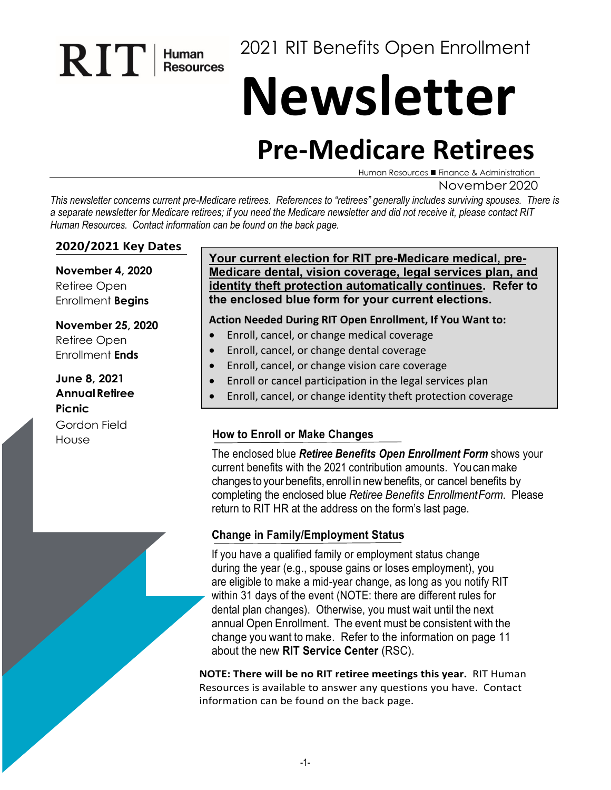2021 RIT Benefits Open Enrollment

# **Newsletter**

# **Pre-Medicare Retirees**

Human Resources ■ Finance & Administration

November 2020

*This newsletter concerns current pre-Medicare retirees. References to "retirees" generally includes surviving spouses. There is a separate newsletter for Medicare retirees; if you need the Medicare newsletter and did not receive it, please contact RIT Human Resources. Contact information can be found on the back page.* 

#### **2020/2021 Key Dates**

RIT Human

**November 4, 2020** Retiree Open Enrollment **Begins**

#### **November 25, 2020**

Retiree Open Enrollment **Ends**

#### **June 8, 2021 AnnualRetiree Picnic** Gordon Field

#### **Your current election for RIT pre-Medicare medical, pre-Medicare dental, vision coverage, legal services plan, and identity theft protection automatically continues. Refer to the enclosed blue form for your current elections.**

#### **Action Needed During RIT Open Enrollment, If You Want to:**

- Enroll, cancel, or change medical coverage
- Enroll, cancel, or change dental coverage
- Enroll, cancel, or change vision care coverage
- Enroll or cancel participation in the legal services plan
- Enroll, cancel, or change identity theft protection coverage

# House **How to Enroll or Make Changes**

The enclosed blue *Retiree Benefits Open Enrollment Form* shows your current benefits with the 2021 contribution amounts. Youcanmake changes to your benefits, enroll in newbenefits, or cancel benefits by completing the enclosed blue *Retiree Benefits EnrollmentForm*. Please return to RIT HR at the address on the form's last page.

#### **Change in Family/Employment Status**

If you have a qualified family or employment status change during the year (e.g., spouse gains or loses employment), you are eligible to make a mid-year change, as long as you notify RIT within 31 days of the event (NOTE: there are different rules for dental plan changes). Otherwise, you must wait until the next annual Open Enrollment. The event must be consistent with the change you want to make. Refer to the information on page 11 about the new **RIT Service Center** (RSC).

**NOTE: There will be no RIT retiree meetings this year.** RIT Human Resources is available to answer any questions you have. Contact information can be found on the back page.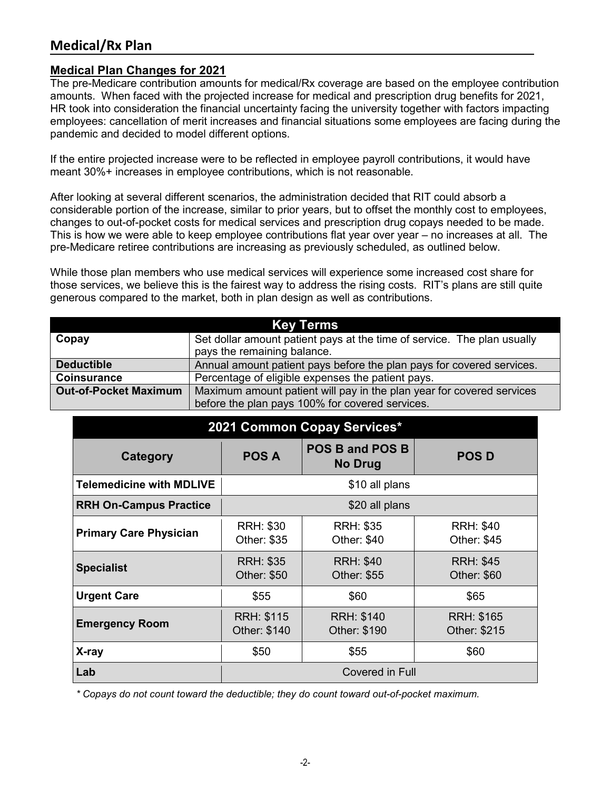# **Medical/Rx Plan**

#### **Medical Plan Changes for 2021**

The pre-Medicare contribution amounts for medical/Rx coverage are based on the employee contribution amounts. When faced with the projected increase for medical and prescription drug benefits for 2021, HR took into consideration the financial uncertainty facing the university together with factors impacting employees: cancellation of merit increases and financial situations some employees are facing during the pandemic and decided to model different options.

If the entire projected increase were to be reflected in employee payroll contributions, it would have meant 30%+ increases in employee contributions, which is not reasonable.

After looking at several different scenarios, the administration decided that RIT could absorb a considerable portion of the increase, similar to prior years, but to offset the monthly cost to employees, changes to out-of-pocket costs for medical services and prescription drug copays needed to be made. This is how we were able to keep employee contributions flat year over year – no increases at all. The pre-Medicare retiree contributions are increasing as previously scheduled, as outlined below.

While those plan members who use medical services will experience some increased cost share for those services, we believe this is the fairest way to address the rising costs. RIT's plans are still quite generous compared to the market, both in plan design as well as contributions.

| Key Terms                    |                                                                         |  |  |  |  |
|------------------------------|-------------------------------------------------------------------------|--|--|--|--|
| Copay                        | Set dollar amount patient pays at the time of service. The plan usually |  |  |  |  |
|                              | pays the remaining balance.                                             |  |  |  |  |
| <b>Deductible</b>            | Annual amount patient pays before the plan pays for covered services.   |  |  |  |  |
| <b>Coinsurance</b>           | Percentage of eligible expenses the patient pays.                       |  |  |  |  |
| <b>Out-of-Pocket Maximum</b> | Maximum amount patient will pay in the plan year for covered services   |  |  |  |  |
|                              | before the plan pays 100% for covered services.                         |  |  |  |  |

| 2021 Common Copay Services*     |                                                                                                             |                                                                    |                                        |  |  |  |  |
|---------------------------------|-------------------------------------------------------------------------------------------------------------|--------------------------------------------------------------------|----------------------------------------|--|--|--|--|
| Category                        | <b>POS A</b>                                                                                                | <b>POS D</b>                                                       |                                        |  |  |  |  |
| <b>Telemedicine with MDLIVE</b> |                                                                                                             | \$10 all plans                                                     |                                        |  |  |  |  |
| <b>RRH On-Campus Practice</b>   |                                                                                                             | \$20 all plans                                                     |                                        |  |  |  |  |
| <b>Primary Care Physician</b>   | <b>RRH: \$30</b><br>Other: \$35                                                                             | <b>RRH: \$35</b><br><b>RRH: \$40</b><br>Other: \$40<br>Other: \$45 |                                        |  |  |  |  |
| <b>Specialist</b>               | <b>RRH: \$35</b><br>Other: \$50                                                                             | <b>RRH: \$40</b><br>Other: \$55                                    | <b>RRH: \$45</b><br><b>Other: \$60</b> |  |  |  |  |
| <b>Urgent Care</b>              | \$55<br>\$60<br>\$65                                                                                        |                                                                    |                                        |  |  |  |  |
| <b>Emergency Room</b>           | <b>RRH: \$115</b><br><b>RRH: \$140</b><br><b>RRH: \$165</b><br>Other: \$140<br>Other: \$190<br>Other: \$215 |                                                                    |                                        |  |  |  |  |
| X-ray                           | \$50                                                                                                        | \$55                                                               | \$60                                   |  |  |  |  |
| Lab                             | Covered in Full                                                                                             |                                                                    |                                        |  |  |  |  |

*\* Copays do not count toward the deductible; they do count toward out-of-pocket maximum.*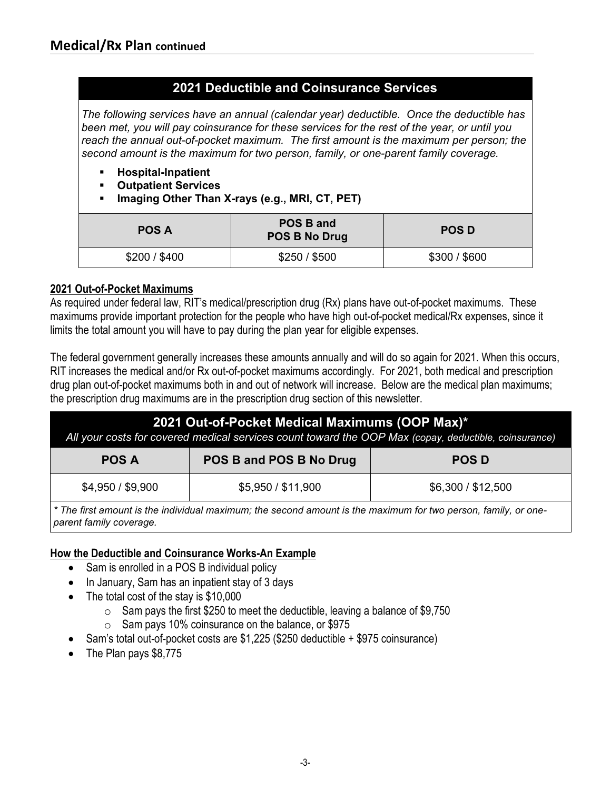## **2021 Deductible and Coinsurance Services**

*The following services have an annual (calendar year) deductible. Once the deductible has been met, you will pay coinsurance for these services for the rest of the year, or until you reach the annual out-of-pocket maximum. The first amount is the maximum per person; the second amount is the maximum for two person, family, or one-parent family coverage.* 

- **Hospital-Inpatient**
- **Outpatient Services**
- **Imaging Other Than X-rays (e.g., MRI, CT, PET)**

| <b>POS A</b>  | POS B and<br><b>POS B No Drug</b> | <b>POS D</b> |
|---------------|-----------------------------------|--------------|
| \$200 / \$400 | \$250/\$500                       | \$300/\$600  |

#### **2021 Out-of-Pocket Maximums**

As required under federal law, RIT's medical/prescription drug (Rx) plans have out-of-pocket maximums. These maximums provide important protection for the people who have high out-of-pocket medical/Rx expenses, since it limits the total amount you will have to pay during the plan year for eligible expenses.

The federal government generally increases these amounts annually and will do so again for 2021. When this occurs, RIT increases the medical and/or Rx out-of-pocket maximums accordingly. For 2021, both medical and prescription drug plan out-of-pocket maximums both in and out of network will increase. Below are the medical plan maximums; the prescription drug maximums are in the prescription drug section of this newsletter.

| 2021 Out-of-Pocket Medical Maximums (OOP Max)*<br>All your costs for covered medical services count toward the OOP Max (copay, deductible, coinsurance) |                    |                    |  |
|---------------------------------------------------------------------------------------------------------------------------------------------------------|--------------------|--------------------|--|
| POS B and POS B No Drug<br><b>POS D</b><br><b>POS A</b>                                                                                                 |                    |                    |  |
| \$4,950 / \$9,900                                                                                                                                       | \$5,950 / \$11,900 | \$6,300 / \$12,500 |  |

*\* The first amount is the individual maximum; the second amount is the maximum for two person, family, or oneparent family coverage.* 

#### **How the Deductible and Coinsurance Works-An Example**

- Sam is enrolled in a POS B individual policy
- In January, Sam has an inpatient stay of 3 days
- The total cost of the stay is \$10,000
	- o Sam pays the first \$250 to meet the deductible, leaving a balance of \$9,750
	- o Sam pays 10% coinsurance on the balance, or \$975
- Sam's total out-of-pocket costs are \$1,225 (\$250 deductible + \$975 coinsurance)
- The Plan pays \$8,775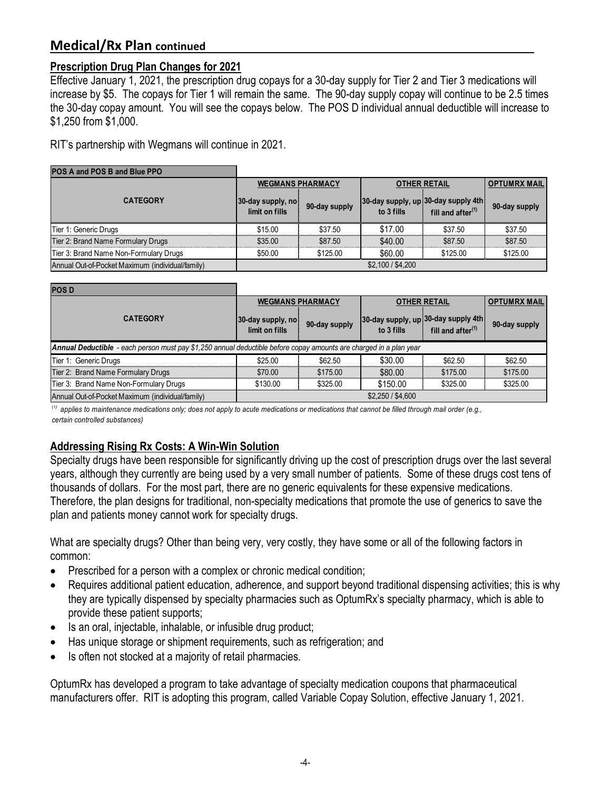#### **Prescription Drug Plan Changes for 2021**

Effective January 1, 2021, the prescription drug copays for a 30-day supply for Tier 2 and Tier 3 medications will increase by \$5. The copays for Tier 1 will remain the same. The 90-day supply copay will continue to be 2.5 times the 30-day copay amount. You will see the copays below. The POS D individual annual deductible will increase to \$1,250 from \$1,000.

RIT's partnership with Wegmans will continue in 2021.

| <b>POS A and POS B and Blue PPO</b>              |                                     |               |                     |                                                                      |               |
|--------------------------------------------------|-------------------------------------|---------------|---------------------|----------------------------------------------------------------------|---------------|
|                                                  | <b>WEGMANS PHARMACY</b>             |               | <b>OTHER RETAIL</b> | <b>OPTUMRX MAIL</b>                                                  |               |
| <b>CATEGORY</b>                                  | 30-day supply, no<br>limit on fills | 90-day supply | to 3 fills          | 30-day supply, up 30-day supply 4th<br>fill and after <sup>(1)</sup> | 90-day supply |
| Tier 1: Generic Drugs                            | \$15.00                             | \$37.50       | \$17.00             | \$37.50                                                              | \$37.50       |
| Tier 2: Brand Name Formulary Drugs               | \$35.00                             | \$87.50       | \$40.00             | \$87.50                                                              | \$87.50       |
| Tier 3: Brand Name Non-Formulary Drugs           | \$50.00                             | \$125.00      | \$60.00             | \$125.00                                                             | \$125.00      |
| Annual Out-of-Pocket Maximum (individual/family) |                                     |               | \$2,100 / \$4,200   |                                                                      |               |

| <b>POSD</b>                                                                                                        |                                     |               |                     |                                                                      |               |
|--------------------------------------------------------------------------------------------------------------------|-------------------------------------|---------------|---------------------|----------------------------------------------------------------------|---------------|
|                                                                                                                    | <b>WEGMANS PHARMACY</b>             |               | <b>OTHER RETAIL</b> | <b>OPTUMRX MAIL</b>                                                  |               |
| <b>CATEGORY</b>                                                                                                    | 30-day supply, no<br>limit on fills | 90-day supply | to 3 fills          | 30-day supply, up 30-day supply 4th<br>fill and after <sup>(1)</sup> | 90-day supply |
| Annual Deductible - each person must pay \$1,250 annual deductible before copay amounts are charged in a plan year |                                     |               |                     |                                                                      |               |
| Tier 1: Generic Drugs                                                                                              | \$25.00                             | \$62.50       | \$30.00             | \$62.50                                                              | \$62.50       |
| Tier 2: Brand Name Formulary Drugs                                                                                 | \$70.00                             | \$175.00      | \$80.00             | \$175.00                                                             | \$175.00      |
| Tier 3: Brand Name Non-Formulary Drugs                                                                             | \$130.00                            | \$325.00      | \$150.00            | \$325.00                                                             | \$325.00      |
| Annual Out-of-Pocket Maximum (individual/family)                                                                   | \$2,250 / \$4,600                   |               |                     |                                                                      |               |

*(1) applies to maintenance medications only; does not apply to acute medications or medications that cannot be filled through mail order (e.g., certain controlled substances)*

#### **Addressing Rising Rx Costs: A Win-Win Solution**

Specialty drugs have been responsible for significantly driving up the cost of prescription drugs over the last several years, although they currently are being used by a very small number of patients. Some of these drugs cost tens of thousands of dollars. For the most part, there are no generic equivalents for these expensive medications. Therefore, the plan designs for traditional, non-specialty medications that promote the use of generics to save the plan and patients money cannot work for specialty drugs.

What are specialty drugs? Other than being very, very costly, they have some or all of the following factors in common:

- Prescribed for a person with a complex or chronic medical condition;
- Requires additional patient education, adherence, and support beyond traditional dispensing activities; this is why they are typically dispensed by specialty pharmacies such as OptumRx's specialty pharmacy, which is able to provide these patient supports;
- Is an oral, injectable, inhalable, or infusible drug product;
- Has unique storage or shipment requirements, such as refrigeration; and
- Is often not stocked at a majority of retail pharmacies.

OptumRx has developed a program to take advantage of specialty medication coupons that pharmaceutical manufacturers offer. RIT is adopting this program, called Variable Copay Solution, effective January 1, 2021.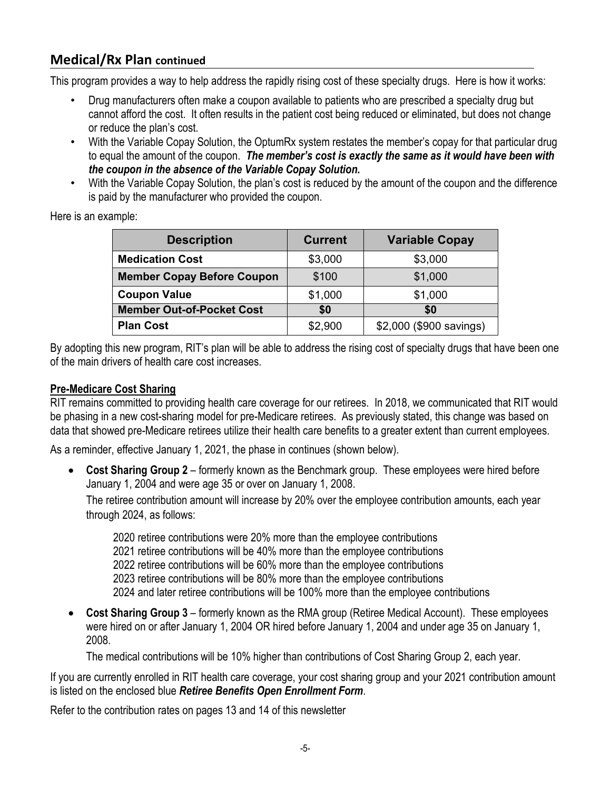This program provides a way to help address the rapidly rising cost of these specialty drugs. Here is how it works:

- Drug manufacturers often make a coupon available to patients who are prescribed a specialty drug but cannot afford the cost. It often results in the patient cost being reduced or eliminated, but does not change or reduce the plan's cost.
- With the Variable Copay Solution, the OptumRx system restates the member's copay for that particular drug to equal the amount of the coupon. *The member's cost is exactly the same as it would have been with the coupon in the absence of the Variable Copay Solution.*
- With the Variable Copay Solution, the plan's cost is reduced by the amount of the coupon and the difference is paid by the manufacturer who provided the coupon.

| <b>Description</b>                | <b>Current</b> | <b>Variable Copay</b>   |
|-----------------------------------|----------------|-------------------------|
| <b>Medication Cost</b>            | \$3,000        | \$3,000                 |
| <b>Member Copay Before Coupon</b> | \$100          | \$1,000                 |
| <b>Coupon Value</b>               | \$1,000        | \$1,000                 |
| <b>Member Out-of-Pocket Cost</b>  | \$0            | \$0                     |
| <b>Plan Cost</b>                  | \$2,900        | \$2,000 (\$900 savings) |

Here is an example:

By adopting this new program, RIT's plan will be able to address the rising cost of specialty drugs that have been one of the main drivers of health care cost increases.

#### **Pre-Medicare Cost Sharing**

RIT remains committed to providing health care coverage for our retirees. In 2018, we communicated that RIT would be phasing in a new cost-sharing model for pre-Medicare retirees. As previously stated, this change was based on data that showed pre-Medicare retirees utilize their health care benefits to a greater extent than current employees.

As a reminder, effective January 1, 2021, the phase in continues (shown below).

• **Cost Sharing Group 2** – formerly known as the Benchmark group. These employees were hired before January 1, 2004 and were age 35 or over on January 1, 2008.

The retiree contribution amount will increase by 20% over the employee contribution amounts, each year through 2024, as follows:

2020 retiree contributions were 20% more than the employee contributions 2021 retiree contributions will be 40% more than the employee contributions 2022 retiree contributions will be 60% more than the employee contributions 2023 retiree contributions will be 80% more than the employee contributions 2024 and later retiree contributions will be 100% more than the employee contributions

• **Cost Sharing Group 3** – formerly known as the RMA group (Retiree Medical Account). These employees were hired on or after January 1, 2004 OR hired before January 1, 2004 and under age 35 on January 1, 2008.

The medical contributions will be 10% higher than contributions of Cost Sharing Group 2, each year.

If you are currently enrolled in RIT health care coverage, your cost sharing group and your 2021 contribution amount is listed on the enclosed blue *Retiree Benefits Open Enrollment Form*.

Refer to the contribution rates on pages 13 and 14 of this newsletter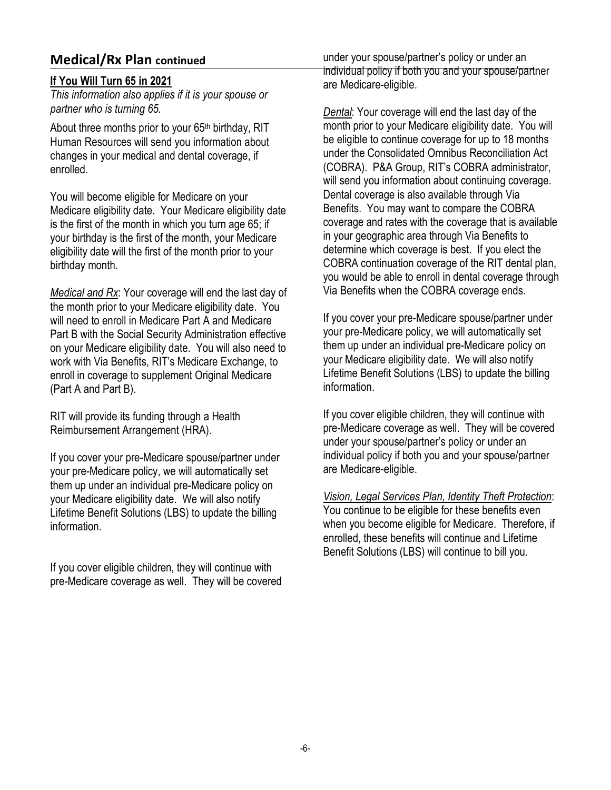#### **If You Will Turn 65 in 2021**

*This information also applies if it is your spouse or partner who is turning 65.*

About three months prior to your 65<sup>th</sup> birthday, RIT Human Resources will send you information about changes in your medical and dental coverage, if enrolled.

You will become eligible for Medicare on your Medicare eligibility date. Your Medicare eligibility date is the first of the month in which you turn age 65; if your birthday is the first of the month, your Medicare eligibility date will the first of the month prior to your birthday month.

*Medical and Rx*: Your coverage will end the last day of the month prior to your Medicare eligibility date. You will need to enroll in Medicare Part A and Medicare Part B with the Social Security Administration effective on your Medicare eligibility date. You will also need to work with Via Benefits, RIT's Medicare Exchange, to enroll in coverage to supplement Original Medicare (Part A and Part B).

RIT will provide its funding through a Health Reimbursement Arrangement (HRA).

If you cover your pre-Medicare spouse/partner under your pre-Medicare policy, we will automatically set them up under an individual pre-Medicare policy on your Medicare eligibility date. We will also notify Lifetime Benefit Solutions (LBS) to update the billing information.

If you cover eligible children, they will continue with pre-Medicare coverage as well. They will be covered

under your spouse/partner's policy or under an individual policy if both you and your spouse/partner are Medicare-eligible.

*Dental*: Your coverage will end the last day of the month prior to your Medicare eligibility date. You will be eligible to continue coverage for up to 18 months under the Consolidated Omnibus Reconciliation Act (COBRA). P&A Group, RIT's COBRA administrator, will send you information about continuing coverage. Dental coverage is also available through Via Benefits. You may want to compare the COBRA coverage and rates with the coverage that is available in your geographic area through Via Benefits to determine which coverage is best. If you elect the COBRA continuation coverage of the RIT dental plan, you would be able to enroll in dental coverage through Via Benefits when the COBRA coverage ends.

If you cover your pre-Medicare spouse/partner under your pre-Medicare policy, we will automatically set them up under an individual pre-Medicare policy on your Medicare eligibility date. We will also notify Lifetime Benefit Solutions (LBS) to update the billing information.

If you cover eligible children, they will continue with pre-Medicare coverage as well. They will be covered under your spouse/partner's policy or under an individual policy if both you and your spouse/partner are Medicare-eligible.

*Vision, Legal Services Plan, Identity Theft Protection*:

You continue to be eligible for these benefits even when you become eligible for Medicare. Therefore, if enrolled, these benefits will continue and Lifetime Benefit Solutions (LBS) will continue to bill you.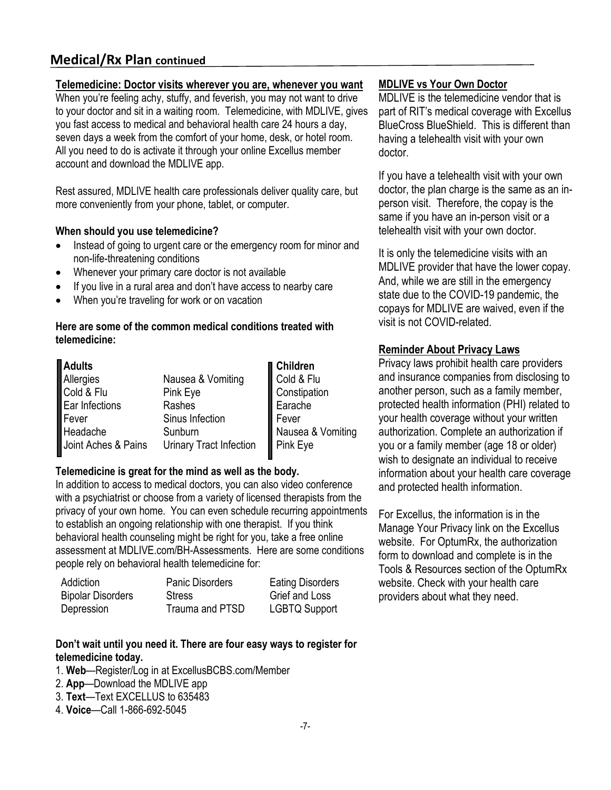#### **Telemedicine: Doctor visits wherever you are, whenever you want**

When you're feeling achy, stuffy, and feverish, you may not want to drive to your doctor and sit in a waiting room. Telemedicine, with MDLIVE, gives you fast access to medical and behavioral health care 24 hours a day, seven days a week from the comfort of your home, desk, or hotel room. All you need to do is activate it through your online Excellus member account and download the MDLIVE app.

Rest assured, MDLIVE health care professionals deliver quality care, but more conveniently from your phone, tablet, or computer.

#### **When should you use telemedicine?**

- Instead of going to urgent care or the emergency room for minor and non-life-threatening conditions
- Whenever your primary care doctor is not available
- If you live in a rural area and don't have access to nearby care
- When you're traveling for work or on vacation

#### **Here are some of the common medical conditions treated with telemedicine:**

| Adults                  |                         | <b>∎ Children</b> |
|-------------------------|-------------------------|-------------------|
|                         | Nausea & Vomiting       | Cold & Flu        |
| Allergies<br>Cold & Flu | Pink Eye                | Constipation      |
| Ear Infections          | Rashes                  | Earache           |
| $\parallel$ Fever       | Sinus Infection         | Fever             |
| Headache                | Sunburn                 | Nausea & Vomiting |
| Joint Aches & Pains     | Urinary Tract Infection | Pink Eye          |

#### **Telemedicine is great for the mind as well as the body.**

In addition to access to medical doctors, you can also video conference with a psychiatrist or choose from a variety of licensed therapists from the privacy of your own home. You can even schedule recurring appointments to establish an ongoing relationship with one therapist. If you think behavioral health counseling might be right for you, take a free online assessment at MDLIVE.com/BH-Assessments. Here are some conditions people rely on behavioral health telemedicine for:

| Addiction                | <b>Panic Disorders</b> | <b>Eating Disorders</b> |
|--------------------------|------------------------|-------------------------|
| <b>Bipolar Disorders</b> | <b>Stress</b>          | Grief and Loss          |
| Depression               | Trauma and PTSD        | <b>LGBTQ Support</b>    |

#### **Don't wait until you need it. There are four easy ways to register for telemedicine today.**

- 1. **Web**—Register/Log in at ExcellusBCBS.com/Member
- 2. **App**—Download the MDLIVE app
- 3. **Text**—Text EXCELLUS to 635483
- 4. **Voice**—Call 1-866-692-5045

#### **MDLIVE vs Your Own Doctor**

MDLIVE is the telemedicine vendor that is part of RIT's medical coverage with Excellus BlueCross BlueShield. This is different than having a telehealth visit with your own doctor.

If you have a telehealth visit with your own doctor, the plan charge is the same as an inperson visit. Therefore, the copay is the same if you have an in-person visit or a telehealth visit with your own doctor.

It is only the telemedicine visits with an MDLIVE provider that have the lower copay. And, while we are still in the emergency state due to the COVID-19 pandemic, the copays for MDLIVE are waived, even if the visit is not COVID-related.

#### **Reminder About Privacy Laws**

Privacy laws prohibit health care providers and insurance companies from disclosing to another person, such as a family member, protected health information (PHI) related to your health coverage without your written authorization. Complete an authorization if you or a family member (age 18 or older) wish to designate an individual to receive information about your health care coverage and protected health information.

For Excellus, the information is in the Manage Your Privacy link on the Excellus website. For OptumRx, the authorization form to download and complete is in the Tools & Resources section of the OptumRx website. Check with your health care providers about what they need.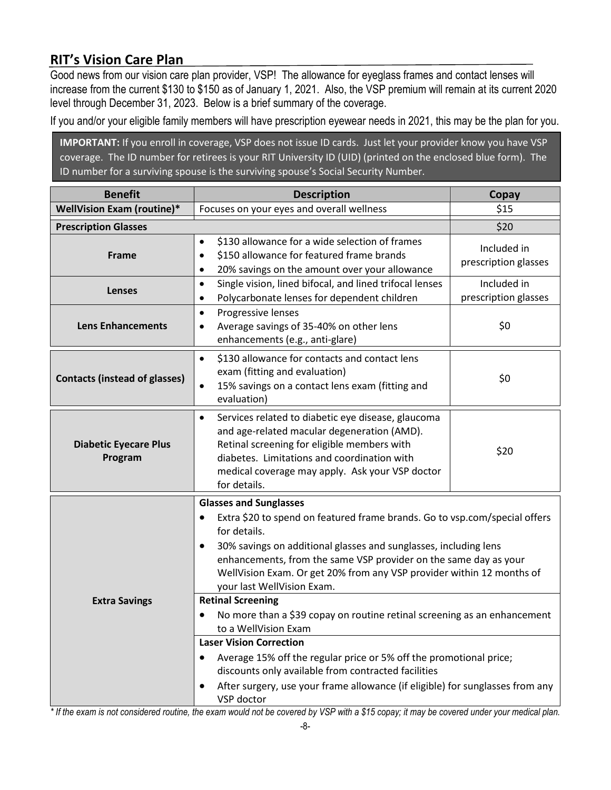# **RIT's Vision Care Plan**

Good news from our vision care plan provider, VSP! The allowance for eyeglass frames and contact lenses will increase from the current \$130 to \$150 as of January 1, 2021. Also, the VSP premium will remain at its current 2020 level through December 31, 2023. Below is a brief summary of the coverage.

If you and/or your eligible family members will have prescription eyewear needs in 2021, this may be the plan for you.

**IMPORTANT:** If you enroll in coverage, VSP does not issue ID cards. Just let your provider know you have VSP coverage. The ID number for retirees is your RIT University ID (UID) (printed on the enclosed blue form). The ID number for a surviving spouse is the surviving spouse's Social Security Number.

| <b>Benefit</b>                          | <b>Description</b>                                                                                                                                                                                                                                                                                                                                                                                   | Copay                               |
|-----------------------------------------|------------------------------------------------------------------------------------------------------------------------------------------------------------------------------------------------------------------------------------------------------------------------------------------------------------------------------------------------------------------------------------------------------|-------------------------------------|
| <b>WellVision Exam (routine)*</b>       | Focuses on your eyes and overall wellness                                                                                                                                                                                                                                                                                                                                                            | \$15                                |
| <b>Prescription Glasses</b>             |                                                                                                                                                                                                                                                                                                                                                                                                      | \$20                                |
| Frame                                   | \$130 allowance for a wide selection of frames<br>$\bullet$<br>\$150 allowance for featured frame brands<br>٠<br>20% savings on the amount over your allowance<br>$\bullet$                                                                                                                                                                                                                          | Included in<br>prescription glasses |
| <b>Lenses</b>                           | Single vision, lined bifocal, and lined trifocal lenses<br>$\bullet$<br>Polycarbonate lenses for dependent children<br>$\bullet$                                                                                                                                                                                                                                                                     | Included in<br>prescription glasses |
| <b>Lens Enhancements</b>                | Progressive lenses<br>$\bullet$<br>Average savings of 35-40% on other lens<br>٠<br>enhancements (e.g., anti-glare)                                                                                                                                                                                                                                                                                   | \$0                                 |
| <b>Contacts (instead of glasses)</b>    | \$130 allowance for contacts and contact lens<br>$\bullet$<br>exam (fitting and evaluation)<br>15% savings on a contact lens exam (fitting and<br>$\bullet$<br>evaluation)                                                                                                                                                                                                                           | \$0                                 |
| <b>Diabetic Eyecare Plus</b><br>Program | Services related to diabetic eye disease, glaucoma<br>$\bullet$<br>and age-related macular degeneration (AMD).<br>Retinal screening for eligible members with<br>diabetes. Limitations and coordination with<br>medical coverage may apply. Ask your VSP doctor<br>for details.                                                                                                                      | \$20                                |
|                                         | <b>Glasses and Sunglasses</b><br>Extra \$20 to spend on featured frame brands. Go to vsp.com/special offers<br>$\bullet$<br>for details.<br>30% savings on additional glasses and sunglasses, including lens<br>$\bullet$<br>enhancements, from the same VSP provider on the same day as your<br>WellVision Exam. Or get 20% from any VSP provider within 12 months of<br>your last WellVision Exam. |                                     |
| <b>Extra Savings</b>                    | <b>Retinal Screening</b><br>No more than a \$39 copay on routine retinal screening as an enhancement<br>٠<br>to a WellVision Exam<br><b>Laser Vision Correction</b><br>Average 15% off the regular price or 5% off the promotional price;<br>discounts only available from contracted facilities                                                                                                     |                                     |
|                                         | After surgery, use your frame allowance (if eligible) for sunglasses from any<br>VSP doctor<br>* If the even is not considered reuting the even would not be equated by USD with a \$15 conought may be equated under your modical plan                                                                                                                                                              |                                     |

*\* If the exam is not considered routine, the exam would not be covered by VSP with a \$15 copay; it may be covered under your medical plan.*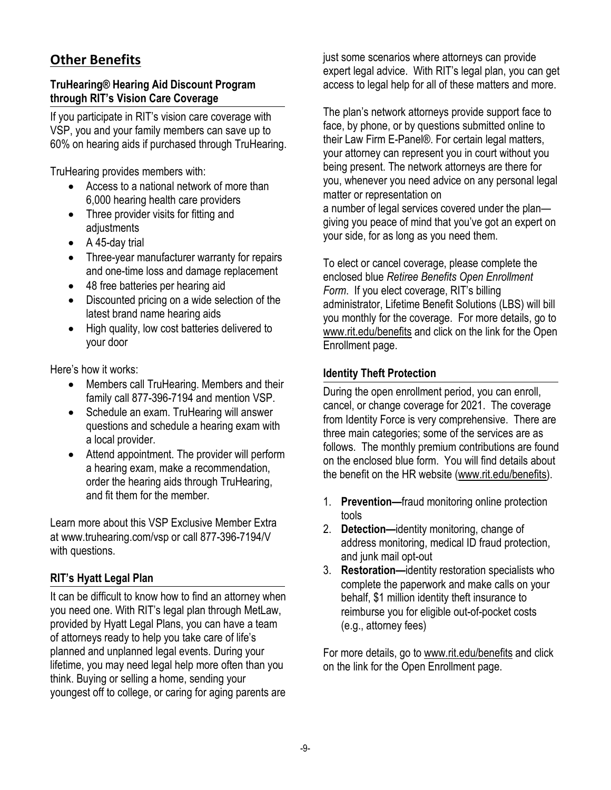# **Other Benefits**

#### **TruHearing® Hearing Aid Discount Program through RIT's Vision Care Coverage**

If you participate in RIT's vision care coverage with VSP, you and your family members can save up to 60% on hearing aids if purchased through TruHearing.

TruHearing provides members with:

- Access to a national network of more than 6,000 hearing health care providers
- Three provider visits for fitting and adjustments
- A 45-day trial
- Three-year manufacturer warranty for repairs and one-time loss and damage replacement
- 48 free batteries per hearing aid
- Discounted pricing on a wide selection of the latest brand name hearing aids
- High quality, low cost batteries delivered to your door

Here's how it works:

- Members call TruHearing. Members and their family call 877-396-7194 and mention VSP.
- Schedule an exam. TruHearing will answer questions and schedule a hearing exam with a local provider.
- Attend appointment. The provider will perform a hearing exam, make a recommendation, order the hearing aids through TruHearing, and fit them for the member.

Learn more about this VSP Exclusive Member Extra at [www.truhearing.com/vsp o](http://www.truhearing.com/vsp)r call 877-396-7194/V with questions.

## **RIT's Hyatt Legal Plan**

It can be difficult to know how to find an attorney when you need one. With RIT's legal plan through MetLaw, provided by Hyatt Legal Plans, you can have a team of attorneys ready to help you take care of life's planned and unplanned legal events. During your lifetime, you may need legal help more often than you think. Buying or selling a home, sending your youngest off to college, or caring for aging parents are just some scenarios where attorneys can provide expert legal advice. With RIT's legal plan, you can get access to legal help for all of these matters and more.

The plan's network attorneys provide support face to face, by phone, or by questions submitted online to their Law Firm E-Panel®. For certain legal matters, your attorney can represent you in court without you being present. The network attorneys are there for you, whenever you need advice on any personal legal matter or representation on

a number of legal services covered under the plan giving you peace of mind that you've got an expert on your side, for as long as you need them.

To elect or cancel coverage, please complete the enclosed blue *Retiree Benefits Open Enrollment Form*. If you elect coverage, RIT's billing administrator, Lifetime Benefit Solutions (LBS) will bill you monthly for the coverage. For more details, go to [www.rit.edu/benefits](http://www.rit.edu/benefits) and click on the link for the Open Enrollment page.

#### **Identity Theft Protection**

During the open enrollment period, you can enroll, cancel, or change coverage for 2021. The coverage from Identity Force is very comprehensive. There are three main categories; some of the services are as follows. The monthly premium contributions are found on the enclosed blue form. You will find details about the benefit on the HR website [\(www.rit.edu/benefits\)](http://www.rit.edu/benefits).

- 1. **Prevention—**fraud monitoring online protection tools
- 2. **Detection—**identity monitoring, change of address monitoring, medical ID fraud protection, and junk mail opt-out
- 3. **Restoration—**identity restoration specialists who complete the paperwork and make calls on your behalf, \$1 million identity theft insurance to reimburse you for eligible out-of-pocket costs (e.g., attorney fees)

For more details, go to [www.rit.edu/benefits](http://www.rit.edu/benefits) and click on the link for the Open Enrollment page.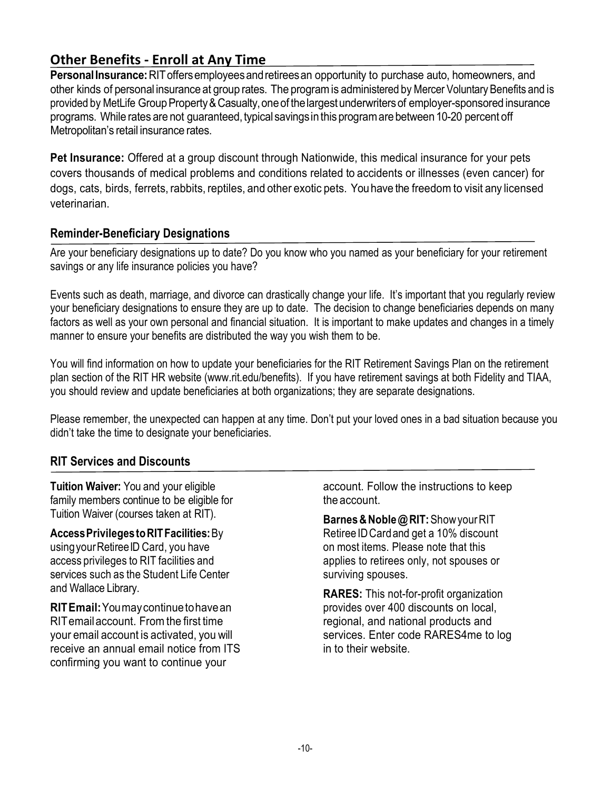# **Other Benefits - Enroll at Any Time**

**PersonalInsurance:**RIToffersemployeesandretireesan opportunity to purchase auto, homeowners, and other kinds of personal insurance at group rates. The programis administered by Mercer Voluntary Benefits and is provided by MetLife Group Property & Casualty, one of the largest underwriters of employer-sponsored insurance programs. While rates are not guaranteed, typical savings in this program are between 10-20 percent off Metropolitan's retail insurance rates.

**Pet Insurance:** Offered at a group discount through Nationwide, this medical insurance for your pets covers thousands of medical problems and conditions related to accidents or illnesses (even cancer) for dogs, cats, birds, ferrets, rabbits, reptiles, and other exotic pets. You have the freedomto visit any licensed veterinarian.

#### **Reminder-Beneficiary Designations**

Are your beneficiary designations up to date? Do you know who you named as your beneficiary for your retirement savings or any life insurance policies you have?

Events such as death, marriage, and divorce can drastically change your life. It's important that you regularly review your beneficiary designations to ensure they are up to date. The decision to change beneficiaries depends on many factors as well as your own personal and financial situation. It is important to make updates and changes in a timely manner to ensure your benefits are distributed the way you wish them to be.

You will find information on how to update your beneficiaries for the RIT Retirement Savings Plan on the retirement plan section of the RIT HR website (www.rit.edu/benefits). If you have retirement savings at both Fidelity and TIAA, you should review and update beneficiaries at both organizations; they are separate designations.

Please remember, the unexpected can happen at any time. Don't put your loved ones in a bad situation because you didn't take the time to designate your beneficiaries.

#### **RIT Services and Discounts**

**Tuition Waiver:** You and your eligible family members continue to be eligible for Tuition Waiver (courses taken at RIT).

**AccessPrivilegestoRITFacilities:**By using your Retiree ID Card, you have access privileges to RIT facilities and services such as the Student Life Center and Wallace Library.

**RITEmail:**Youmaycontinuetohavean RITemailaccount. Fromthe first time your email account is activated, you will receive an annual email notice from ITS confirming you want to continue your

account. Follow the instructions to keep the account.

**Barnes&Noble@RIT:**ShowyourRIT RetireeIDCardand get a 10% discount on most items. Please note that this applies to retirees only, not spouses or surviving spouses.

**RARES:** This not-for-profit organization provides over 400 discounts on local, regional, and national products and services. Enter code RARES4me to log in to their website.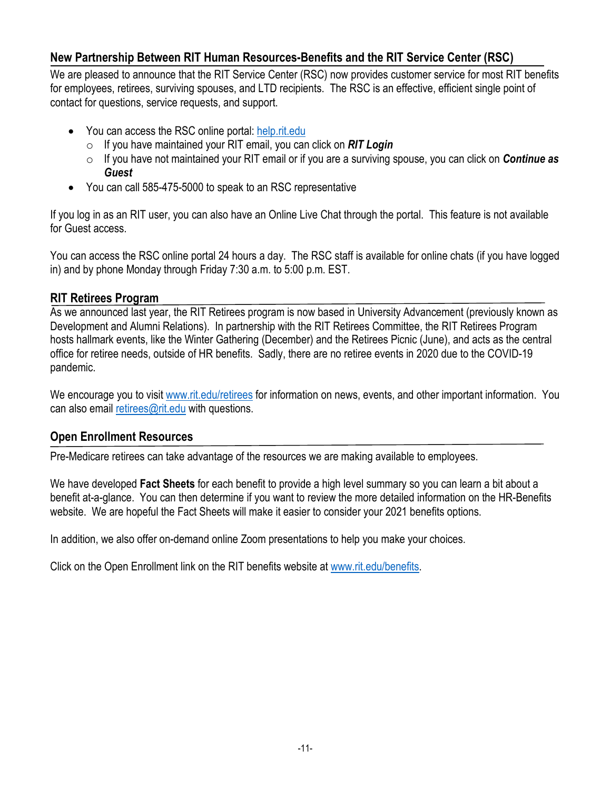#### **New Partnership Between RIT Human Resources-Benefits and the RIT Service Center (RSC)**

We are pleased to announce that the RIT Service Center (RSC) now provides customer service for most RIT benefits for employees, retirees, surviving spouses, and LTD recipients. The RSC is an effective, efficient single point of contact for questions, service requests, and support.

- You can access the RSC online portal: [help.rit.edu](https://help.rit.edu/sp)
	- o If you have maintained your RIT email, you can click on *RIT Login*
	- o If you have not maintained your RIT email or if you are a surviving spouse, you can click on *Continue as Guest*
- You can call 585-475-5000 to speak to an RSC representative

If you log in as an RIT user, you can also have an Online Live Chat through the portal. This feature is not available for Guest access.

You can access the RSC online portal 24 hours a day. The RSC staff is available for online chats (if you have logged in) and by phone Monday through Friday 7:30 a.m. to 5:00 p.m. EST.

#### **RIT Retirees Program**

As we announced last year, the RIT Retirees program is now based in University Advancement (previously known as Development and Alumni Relations). In partnership with the RIT Retirees Committee, the RIT Retirees Program hosts hallmark events, like the Winter Gathering (December) and the Retirees Picnic (June), and acts as the central office for retiree needs, outside of HR benefits. Sadly, there are no retiree events in 2020 due to the COVID-19 pandemic.

We encourage you to visit [www.rit.edu/retirees](http://www.rit.edu/retirees) for information on news, events, and other important information. You can also email [retirees@rit.edu](mailto:retirees@rit.edu) with questions.

#### **Open Enrollment Resources**

Pre-Medicare retirees can take advantage of the resources we are making available to employees.

We have developed **Fact Sheets** for each benefit to provide a high level summary so you can learn a bit about a benefit at-a-glance. You can then determine if you want to review the more detailed information on the HR-Benefits website. We are hopeful the Fact Sheets will make it easier to consider your 2021 benefits options.

In addition, we also offer on-demand online Zoom presentations to help you make your choices.

Click on the Open Enrollment link on the RIT benefits website at [www.rit.edu/benefits.](http://www.rit.edu/benefits)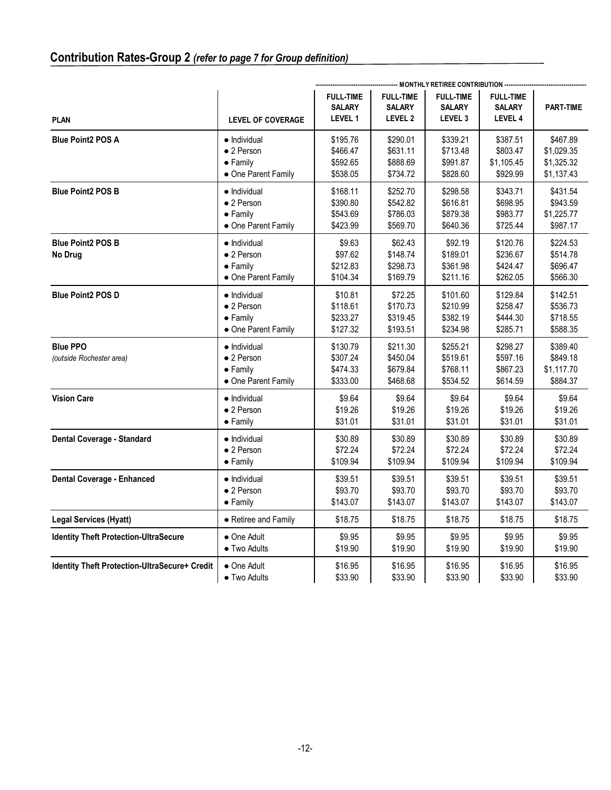|                                               |                                                                                       | -------------------------------- MONTHLY RETIREE CONTRIBUTION ------------------------------ |                                                         |                                                         |                                                     |                                                |
|-----------------------------------------------|---------------------------------------------------------------------------------------|----------------------------------------------------------------------------------------------|---------------------------------------------------------|---------------------------------------------------------|-----------------------------------------------------|------------------------------------------------|
| <b>PLAN</b>                                   | <b>LEVEL OF COVERAGE</b>                                                              | <b>FULL-TIME</b><br><b>SALARY</b><br><b>LEVEL 1</b>                                          | <b>FULL-TIME</b><br><b>SALARY</b><br>LEVEL <sub>2</sub> | <b>FULL-TIME</b><br><b>SALARY</b><br>LEVEL <sub>3</sub> | <b>FULL-TIME</b><br><b>SALARY</b><br><b>LEVEL 4</b> | <b>PART-TIME</b>                               |
| <b>Blue Point2 POS A</b>                      | • Individual                                                                          | \$195.76                                                                                     | \$290.01                                                | \$339.21                                                | \$387.51                                            | \$467.89                                       |
|                                               | • 2 Person                                                                            | \$466.47                                                                                     | \$631.11                                                | \$713.48                                                | \$803.47                                            | \$1,029.35                                     |
|                                               | $\bullet$ Family                                                                      | \$592.65                                                                                     | \$888.69                                                | \$991.87                                                | \$1,105.45                                          | \$1,325.32                                     |
|                                               | • One Parent Family                                                                   | \$538.05                                                                                     | \$734.72                                                | \$828.60                                                | \$929.99                                            | \$1,137.43                                     |
| <b>Blue Point2 POS B</b>                      | $\bullet$ Individual                                                                  | \$168.11                                                                                     | \$252.70                                                | \$298.58                                                | \$343.71                                            | \$431.54                                       |
|                                               | $\bullet$ 2 Person                                                                    | \$390.80                                                                                     | \$542.82                                                | \$616.81                                                | \$698.95                                            | \$943.59                                       |
|                                               | $\bullet$ Family                                                                      | \$543.69                                                                                     | \$786.03                                                | \$879.38                                                | \$983.77                                            | \$1,225.77                                     |
|                                               | • One Parent Family                                                                   | \$423.99                                                                                     | \$569.70                                                | \$640.36                                                | \$725.44                                            | \$987.17                                       |
| <b>Blue Point2 POS B</b><br>No Drug           | $\bullet$ Individual<br>$\bullet$ 2 Person<br>$\bullet$ Family<br>• One Parent Family | \$9.63<br>\$97.62<br>\$212.83<br>\$104.34                                                    | \$62.43<br>\$148.74<br>\$298.73<br>\$169.79             | \$92.19<br>\$189.01<br>\$361.98<br>\$211.16             | \$120.76<br>\$236.67<br>\$424.47<br>\$262.05        | \$224.53<br>\$514.78<br>\$696.47<br>\$566.30   |
| <b>Blue Point2 POS D</b>                      | $\bullet$ Individual                                                                  | \$10.81                                                                                      | \$72.25                                                 | \$101.60                                                | \$129.84                                            | \$142.51                                       |
|                                               | $\bullet$ 2 Person                                                                    | \$118.61                                                                                     | \$170.73                                                | \$210.99                                                | \$258.47                                            | \$536.73                                       |
|                                               | $\bullet$ Family                                                                      | \$233.27                                                                                     | \$319.45                                                | \$382.19                                                | \$444.30                                            | \$718.55                                       |
|                                               | • One Parent Family                                                                   | \$127.32                                                                                     | \$193.51                                                | \$234.98                                                | \$285.71                                            | \$588.35                                       |
| <b>Blue PPO</b><br>(outside Rochester area)   | $\bullet$ Individual<br>$\bullet$ 2 Person<br>$\bullet$ Family<br>• One Parent Family | \$130.79<br>\$307.24<br>\$474.33<br>\$333.00                                                 | \$211.30<br>\$450.04<br>\$679.84<br>\$468.68            | \$255.21<br>\$519.61<br>\$768.11<br>\$534.52            | \$298.27<br>\$597.16<br>\$867.23<br>\$614.59        | \$389.40<br>\$849.18<br>\$1,117.70<br>\$884.37 |
| <b>Vision Care</b>                            | · Individual                                                                          | \$9.64                                                                                       | \$9.64                                                  | \$9.64                                                  | \$9.64                                              | \$9.64                                         |
|                                               | $\bullet$ 2 Person                                                                    | \$19.26                                                                                      | \$19.26                                                 | \$19.26                                                 | \$19.26                                             | \$19.26                                        |
|                                               | $\bullet$ Family                                                                      | \$31.01                                                                                      | \$31.01                                                 | \$31.01                                                 | \$31.01                                             | \$31.01                                        |
| Dental Coverage - Standard                    | $\bullet$ Individual                                                                  | \$30.89                                                                                      | \$30.89                                                 | \$30.89                                                 | \$30.89                                             | \$30.89                                        |
|                                               | • 2 Person                                                                            | \$72.24                                                                                      | \$72.24                                                 | \$72.24                                                 | \$72.24                                             | \$72.24                                        |
|                                               | $\bullet$ Family                                                                      | \$109.94                                                                                     | \$109.94                                                | \$109.94                                                | \$109.94                                            | \$109.94                                       |
| <b>Dental Coverage - Enhanced</b>             | • Individual                                                                          | \$39.51                                                                                      | \$39.51                                                 | \$39.51                                                 | \$39.51                                             | \$39.51                                        |
|                                               | $\bullet$ 2 Person                                                                    | \$93.70                                                                                      | \$93.70                                                 | \$93.70                                                 | \$93.70                                             | \$93.70                                        |
|                                               | $\bullet$ Family                                                                      | \$143.07                                                                                     | \$143.07                                                | \$143.07                                                | \$143.07                                            | \$143.07                                       |
| <b>Legal Services (Hyatt)</b>                 | • Retiree and Family                                                                  | \$18.75                                                                                      | \$18.75                                                 | \$18.75                                                 | \$18.75                                             | \$18.75                                        |
| <b>Identity Theft Protection-UltraSecure</b>  | • One Adult                                                                           | \$9.95                                                                                       | \$9.95                                                  | \$9.95                                                  | \$9.95                                              | \$9.95                                         |
|                                               | • Two Adults                                                                          | \$19.90                                                                                      | \$19.90                                                 | \$19.90                                                 | \$19.90                                             | \$19.90                                        |
| Identity Theft Protection-UltraSecure+ Credit | • One Adult                                                                           | \$16.95                                                                                      | \$16.95                                                 | \$16.95                                                 | \$16.95                                             | \$16.95                                        |
|                                               | • Two Adults                                                                          | \$33.90                                                                                      | \$33.90                                                 | \$33.90                                                 | \$33.90                                             | \$33.90                                        |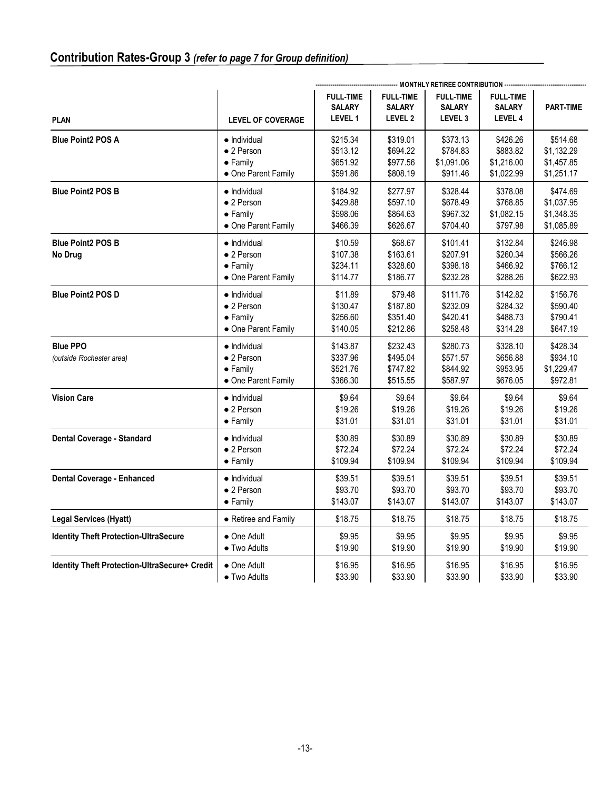|                                               |                                                                               | MONTHLY RETIREE CONTRIBUTION ----------------------- |                                                         |                                              |                                                     |                                                |
|-----------------------------------------------|-------------------------------------------------------------------------------|------------------------------------------------------|---------------------------------------------------------|----------------------------------------------|-----------------------------------------------------|------------------------------------------------|
| <b>PLAN</b>                                   | <b>LEVEL OF COVERAGE</b>                                                      | <b>FULL-TIME</b><br><b>SALARY</b><br><b>LEVEL 1</b>  | <b>FULL-TIME</b><br><b>SALARY</b><br>LEVEL <sub>2</sub> | <b>FULL-TIME</b><br><b>SALARY</b><br>LEVEL 3 | <b>FULL-TIME</b><br><b>SALARY</b><br><b>LEVEL 4</b> | <b>PART-TIME</b>                               |
| <b>Blue Point2 POS A</b>                      | • Individual                                                                  | \$215.34                                             | \$319.01                                                | \$373.13                                     | \$426.26                                            | \$514.68                                       |
|                                               | $\bullet$ 2 Person                                                            | \$513.12                                             | \$694.22                                                | \$784.83                                     | \$883.82                                            | \$1,132.29                                     |
|                                               | $\bullet$ Family                                                              | \$651.92                                             | \$977.56                                                | \$1,091.06                                   | \$1,216.00                                          | \$1,457.85                                     |
|                                               | • One Parent Family                                                           | \$591.86                                             | \$808.19                                                | \$911.46                                     | \$1,022.99                                          | \$1,251.17                                     |
| <b>Blue Point2 POS B</b>                      | $\bullet$ Individual                                                          | \$184.92                                             | \$277.97                                                | \$328.44                                     | \$378.08                                            | \$474.69                                       |
|                                               | $\bullet$ 2 Person                                                            | \$429.88                                             | \$597.10                                                | \$678.49                                     | \$768.85                                            | \$1,037.95                                     |
|                                               | $\bullet$ Family                                                              | \$598.06                                             | \$864.63                                                | \$967.32                                     | \$1,082.15                                          | \$1,348.35                                     |
|                                               | • One Parent Family                                                           | \$466.39                                             | \$626.67                                                | \$704.40                                     | \$797.98                                            | \$1,085.89                                     |
| <b>Blue Point2 POS B</b><br>No Drug           | $\bullet$ Individual<br>$\bullet$ 2 Person<br>• Family<br>• One Parent Family | \$10.59<br>\$107.38<br>\$234.11<br>\$114.77          | \$68.67<br>\$163.61<br>\$328.60<br>\$186.77             | \$101.41<br>\$207.91<br>\$398.18<br>\$232.28 | \$132.84<br>\$260.34<br>\$466.92<br>\$288.26        | \$246.98<br>\$566.26<br>\$766.12<br>\$622.93   |
| <b>Blue Point2 POS D</b>                      | • Individual                                                                  | \$11.89                                              | \$79.48                                                 | \$111.76                                     | \$142.82                                            | \$156.76                                       |
|                                               | • 2 Person                                                                    | \$130.47                                             | \$187.80                                                | \$232.09                                     | \$284.32                                            | \$590.40                                       |
|                                               | $\bullet$ Family                                                              | \$256.60                                             | \$351.40                                                | \$420.41                                     | \$488.73                                            | \$790.41                                       |
|                                               | • One Parent Family                                                           | \$140.05                                             | \$212.86                                                | \$258.48                                     | \$314.28                                            | \$647.19                                       |
| <b>Blue PPO</b><br>(outside Rochester area)   | • Individual<br>$\bullet$ 2 Person<br>$\bullet$ Family<br>• One Parent Family | \$143.87<br>\$337.96<br>\$521.76<br>\$366.30         | \$232.43<br>\$495.04<br>\$747.82<br>\$515.55            | \$280.73<br>\$571.57<br>\$844.92<br>\$587.97 | \$328.10<br>\$656.88<br>\$953.95<br>\$676.05        | \$428.34<br>\$934.10<br>\$1,229.47<br>\$972.81 |
| <b>Vision Care</b>                            | • Individual                                                                  | \$9.64                                               | \$9.64                                                  | \$9.64                                       | \$9.64                                              | \$9.64                                         |
|                                               | • 2 Person                                                                    | \$19.26                                              | \$19.26                                                 | \$19.26                                      | \$19.26                                             | \$19.26                                        |
|                                               | $\bullet$ Family                                                              | \$31.01                                              | \$31.01                                                 | \$31.01                                      | \$31.01                                             | \$31.01                                        |
| Dental Coverage - Standard                    | • Individual                                                                  | \$30.89                                              | \$30.89                                                 | \$30.89                                      | \$30.89                                             | \$30.89                                        |
|                                               | • 2 Person                                                                    | \$72.24                                              | \$72.24                                                 | \$72.24                                      | \$72.24                                             | \$72.24                                        |
|                                               | $\bullet$ Family                                                              | \$109.94                                             | \$109.94                                                | \$109.94                                     | \$109.94                                            | \$109.94                                       |
| <b>Dental Coverage - Enhanced</b>             | • Individual                                                                  | \$39.51                                              | \$39.51                                                 | \$39.51                                      | \$39.51                                             | \$39.51                                        |
|                                               | • 2 Person                                                                    | \$93.70                                              | \$93.70                                                 | \$93.70                                      | \$93.70                                             | \$93.70                                        |
|                                               | $\bullet$ Family                                                              | \$143.07                                             | \$143.07                                                | \$143.07                                     | \$143.07                                            | \$143.07                                       |
| <b>Legal Services (Hyatt)</b>                 | • Retiree and Family                                                          | \$18.75                                              | \$18.75                                                 | \$18.75                                      | \$18.75                                             | \$18.75                                        |
| <b>Identity Theft Protection-UltraSecure</b>  | • One Adult                                                                   | \$9.95                                               | \$9.95                                                  | \$9.95                                       | \$9.95                                              | \$9.95                                         |
|                                               | • Two Adults                                                                  | \$19.90                                              | \$19.90                                                 | \$19.90                                      | \$19.90                                             | \$19.90                                        |
| Identity Theft Protection-UltraSecure+ Credit | • One Adult                                                                   | \$16.95                                              | \$16.95                                                 | \$16.95                                      | \$16.95                                             | \$16.95                                        |
|                                               | $\bullet$ Two Adults                                                          | \$33.90                                              | \$33.90                                                 | \$33.90                                      | \$33.90                                             | \$33.90                                        |